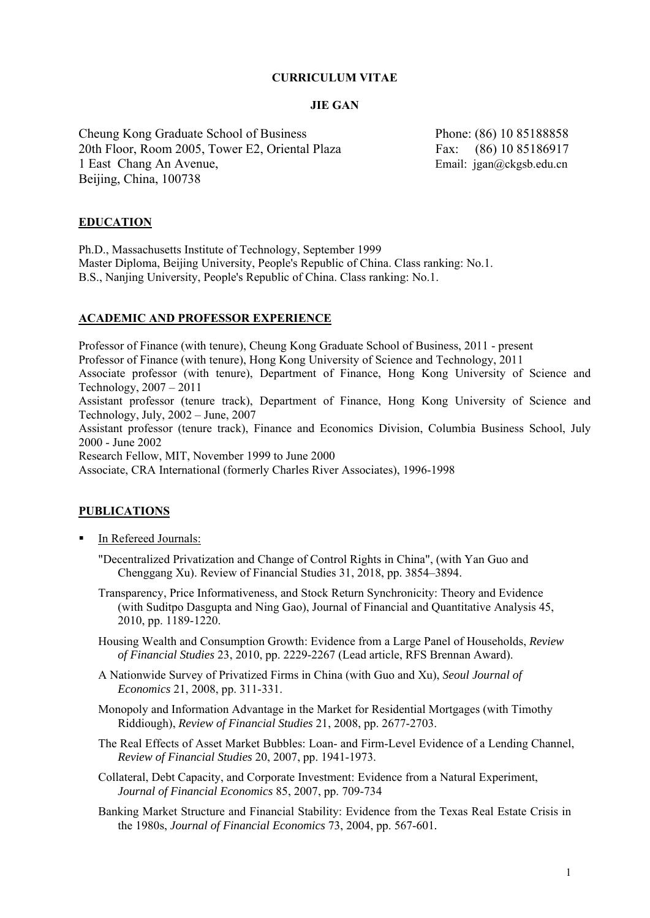## **CURRICULUM VITAE**

#### **JIE GAN**

Cheung Kong Graduate School of Business Phone: (86) 10 85188858 20th Floor, Room 2005, Tower E2, Oriental Plaza Fax: (86) 10 85186917 1 East Chang An Avenue, Email: jgan@ckgsb.edu.cn Beijing, China, 100738

# **EDUCATION**

Ph.D., Massachusetts Institute of Technology, September 1999 Master Diploma, Beijing University, People's Republic of China. Class ranking: No.1. B.S., Nanjing University, People's Republic of China. Class ranking: No.1.

## **ACADEMIC AND PROFESSOR EXPERIENCE**

Professor of Finance (with tenure), Cheung Kong Graduate School of Business, 2011 - present Professor of Finance (with tenure), Hong Kong University of Science and Technology, 2011 Associate professor (with tenure), Department of Finance, Hong Kong University of Science and Technology, 2007 – 2011 Assistant professor (tenure track), Department of Finance, Hong Kong University of Science and Technology, July, 2002 – June, 2007 Assistant professor (tenure track), Finance and Economics Division, Columbia Business School, July 2000 - June 2002 Research Fellow, MIT, November 1999 to June 2000 Associate, CRA International (formerly Charles River Associates), 1996-1998 **PUBLICATIONS In Refereed Journals:** 

- "Decentralized Privatization and Change of Control Rights in China", (with Yan Guo and Chenggang Xu). Review of Financial Studies 31, 2018, pp. 3854–3894.
- Transparency, Price Informativeness, and Stock Return Synchronicity: Theory and Evidence (with Suditpo Dasgupta and Ning Gao), Journal of Financial and Quantitative Analysis 45, 2010, pp. 1189-1220.
- Housing Wealth and Consumption Growth: Evidence from a Large Panel of Households, *Review of Financial Studies* 23, 2010, pp. 2229-2267 (Lead article, RFS Brennan Award).
- A Nationwide Survey of Privatized Firms in China (with Guo and Xu), *Seoul Journal of Economics* 21, 2008, pp. 311-331.
- Monopoly and Information Advantage in the Market for Residential Mortgages (with Timothy Riddiough), *Review of Financial Studies* 21, 2008, pp. 2677-2703.
- The Real Effects of Asset Market Bubbles: Loan- and Firm-Level Evidence of a Lending Channel, *Review of Financial Studies* 20, 2007, pp. 1941-1973.
- Collateral, Debt Capacity, and Corporate Investment: Evidence from a Natural Experiment, *Journal of Financial Economics* 85, 2007, pp. 709-734
- Banking Market Structure and Financial Stability: Evidence from the Texas Real Estate Crisis in the 1980s, *Journal of Financial Economics* 73, 2004, pp. 567-601*.*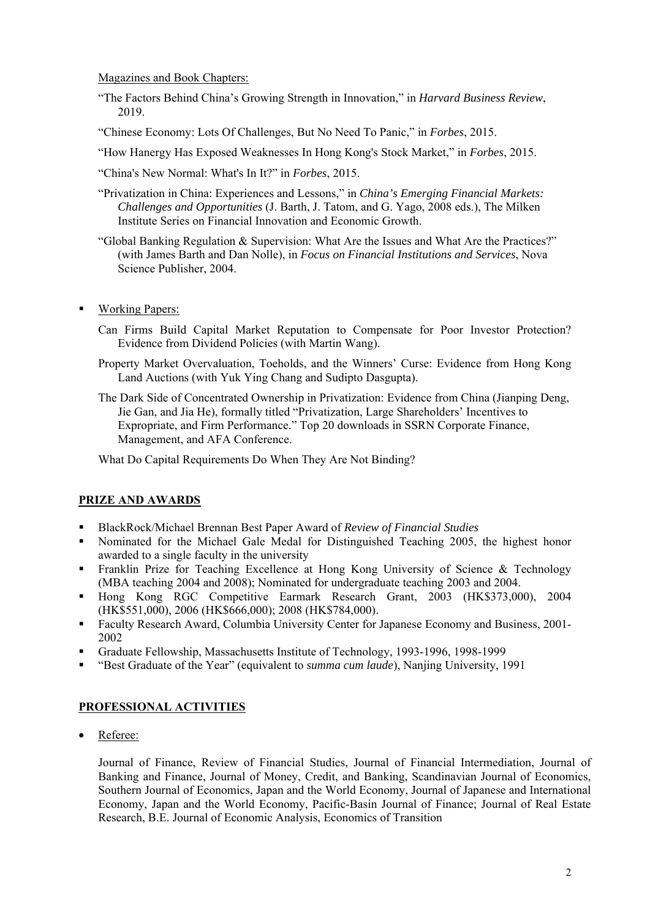#### Magazines and Book Chapters:

- "The Factors Behind China's Growing Strength in Innovation," in *Harvard Business Review*, 2019.
- "Chinese Economy: Lots Of Challenges, But No Need To Panic," in *Forbes*, 2015.
- "How Hanergy Has Exposed Weaknesses In Hong Kong's Stock Market," in *Forbes*, 2015.
- "China's New Normal: What's In It?" in *Forbes*, 2015.
- "Privatization in China: Experiences and Lessons," in *China's Emerging Financial Markets: Challenges and Opportunities* (J. Barth, J. Tatom, and G. Yago, 2008 eds.), The Milken Institute Series on Financial Innovation and Economic Growth.
- "Global Banking Regulation & Supervision: What Are the Issues and What Are the Practices?" (with James Barth and Dan Nolle), in *Focus on Financial Institutions and Services*, Nova Science Publisher, 2004.
- Working Papers:
	- Can Firms Build Capital Market Reputation to Compensate for Poor Investor Protection? Evidence from Dividend Policies (with Martin Wang).
	- Property Market Overvaluation, Toeholds, and the Winners' Curse: Evidence from Hong Kong Land Auctions (with Yuk Ying Chang and Sudipto Dasgupta).
	- The Dark Side of Concentrated Ownership in Privatization: Evidence from China (Jianping Deng, Jie Gan, and Jia He), formally titled "Privatization, Large Shareholders' Incentives to Expropriate, and Firm Performance." Top 20 downloads in SSRN Corporate Finance, Management, and AFA Conference.

What Do Capital Requirements Do When They Are Not Binding?

# **PRIZE AND AWARDS**

- BlackRock/Michael Brennan Best Paper Award of *Review of Financial Studies*
- Nominated for the Michael Gale Medal for Distinguished Teaching 2005, the highest honor awarded to a single faculty in the university
- **Franklin Prize for Teaching Excellence at Hong Kong University of Science & Technology** (MBA teaching 2004 and 2008); Nominated for undergraduate teaching 2003 and 2004.
- Hong Kong RGC Competitive Earmark Research Grant, 2003 (HK\$373,000), 2004 (HK\$551,000), 2006 (HK\$666,000); 2008 (HK\$784,000).
- Faculty Research Award, Columbia University Center for Japanese Economy and Business, 2001- 2002
- Graduate Fellowship, Massachusetts Institute of Technology, 1993-1996, 1998-1999
- "Best Graduate of the Year" (equivalent to *summa cum laude*), Nanjing University, 1991

## **PROFESSIONAL ACTIVITIES**

Referee:

Journal of Finance, Review of Financial Studies, Journal of Financial Intermediation, Journal of Banking and Finance, Journal of Money, Credit, and Banking, Scandinavian Journal of Economics, Southern Journal of Economics, Japan and the World Economy, Journal of Japanese and International Economy, Japan and the World Economy, Pacific-Basin Journal of Finance; Journal of Real Estate Research, B.E. Journal of Economic Analysis, Economics of Transition